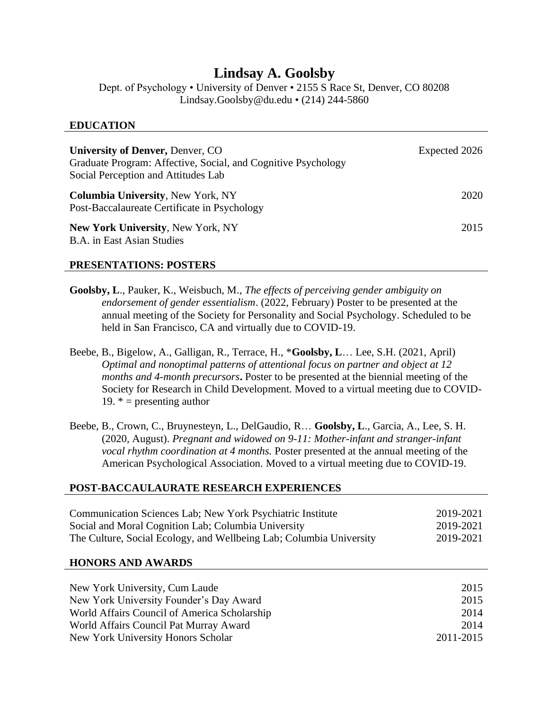# **Lindsay A. Goolsby**

Dept. of Psychology • University of Denver • 2155 S Race St, Denver, CO 80208 Lindsay.Goolsby@du.edu • (214) 244-5860

#### **EDUCATION**

| <b>University of Denver, Denver, CO</b><br>Graduate Program: Affective, Social, and Cognitive Psychology<br>Social Perception and Attitudes Lab | Expected 2026 |
|-------------------------------------------------------------------------------------------------------------------------------------------------|---------------|
| <b>Columbia University, New York, NY</b><br>Post-Baccalaureate Certificate in Psychology                                                        | 2020          |
| <b>New York University, New York, NY</b><br><b>B.A.</b> in East Asian Studies                                                                   | 2015          |

### **PRESENTATIONS: POSTERS**

- **Goolsby, L**., Pauker, K., Weisbuch, M., *The effects of perceiving gender ambiguity on endorsement of gender essentialism*. (2022, February) Poster to be presented at the annual meeting of the Society for Personality and Social Psychology. Scheduled to be held in San Francisco, CA and virtually due to COVID-19.
- Beebe, B., Bigelow, A., Galligan, R., Terrace, H., \***Goolsby, L**… Lee, S.H. (2021, April) *Optimal and nonoptimal patterns of attentional focus on partner and object at 12 months and 4-month precursors***.** Poster to be presented at the biennial meeting of the Society for Research in Child Development. Moved to a virtual meeting due to COVID-19.  $* =$  presenting author
- Beebe, B., Crown, C., Bruynesteyn, L., DelGaudio, R… **Goolsby, L**., Garcia, A., Lee, S. H. (2020, August). *Pregnant and widowed on 9-11: Mother-infant and stranger-infant vocal rhythm coordination at 4 months.* Poster presented at the annual meeting of the American Psychological Association. Moved to a virtual meeting due to COVID-19.

### **POST-BACCAULAURATE RESEARCH EXPERIENCES**

| Communication Sciences Lab; New York Psychiatric Institute          | 2019-2021 |
|---------------------------------------------------------------------|-----------|
| Social and Moral Cognition Lab; Columbia University                 | 2019-2021 |
| The Culture, Social Ecology, and Wellbeing Lab; Columbia University | 2019-2021 |

#### **HONORS AND AWARDS**

| New York University, Cum Laude               | 2015      |
|----------------------------------------------|-----------|
| New York University Founder's Day Award      | 2015      |
| World Affairs Council of America Scholarship | 2014      |
| World Affairs Council Pat Murray Award       | 2014      |
| New York University Honors Scholar           | 2011-2015 |